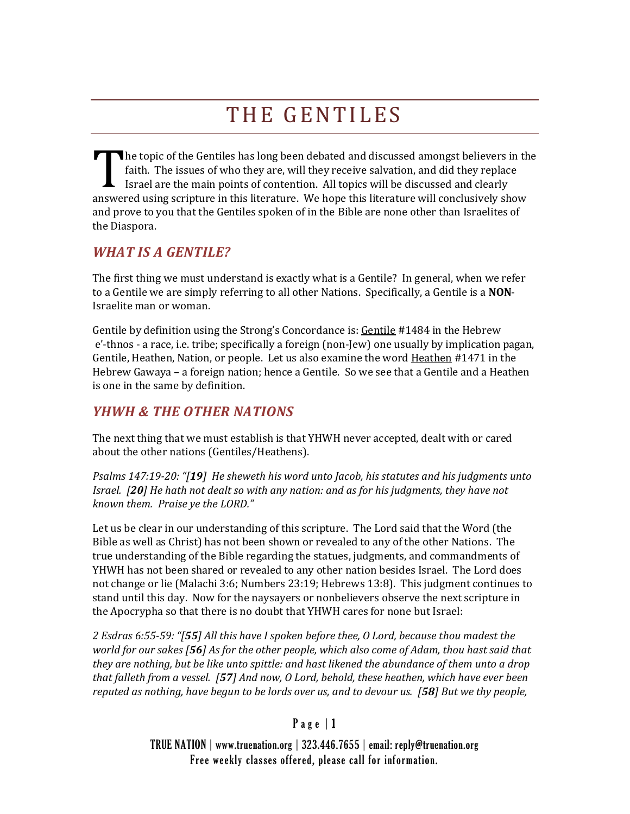# THE GENTILES

The topic of the Gentiles has long been debated and discussed amongst believers in the faith. The issues of who they are, will they receive salvation, and did they replace Israel are the main points of contention. All topi faith. The issues of who they are, will they receive salvation, and did they replace Israel are the main points of contention. All topics will be discussed and clearly answered using scripture in this literature. We hope this literature will conclusively show and prove to you that the Gentiles spoken of in the Bible are none other than Israelites of the Diaspora.

#### *WHAT IS A GENTILE?*

The first thing we must understand is exactly what is a Gentile? In general, when we refer to a Gentile we are simply referring to all other Nations. Specifically, a Gentile is a **NON**-Israelite man or woman.

Gentile by definition using the Strong's Concordance is: Gentile #1484 in the Hebrew e'-thnos - a race, i.e. tribe; specifically a foreign (non-Jew) one usually by implication pagan, Gentile, Heathen, Nation, or people. Let us also examine the word Heathen #1471 in the Hebrew Gawaya – a foreign nation; hence a Gentile. So we see that a Gentile and a Heathen is one in the same by definition.

# *YHWH & THE OTHER NATIONS*

The next thing that we must establish is that YHWH never accepted, dealt with or cared about the other nations (Gentiles/Heathens).

*Psalms 147:19-20: "[19] He sheweth his word unto Jacob, his statutes and his judgments unto Israel. [20] He hath not dealt so with any nation: and as for his judgments, they have not known them. Praise ye the LORD."*

Let us be clear in our understanding of this scripture. The Lord said that the Word (the Bible as well as Christ) has not been shown or revealed to any of the other Nations. The true understanding of the Bible regarding the statues, judgments, and commandments of YHWH has not been shared or revealed to any other nation besides Israel. The Lord does not change or lie (Malachi 3:6; Numbers 23:19; Hebrews 13:8). This judgment continues to stand until this day. Now for the naysayers or nonbelievers observe the next scripture in the Apocrypha so that there is no doubt that YHWH cares for none but Israel:

*2 Esdras 6:55-59: "[55] All this have I spoken before thee, O Lord, because thou madest the world for our sakes [56] As for the other people, which also come of Adam, thou hast said that they are nothing, but be like unto spittle: and hast likened the abundance of them unto a drop that falleth from a vessel. [57] And now, O Lord, behold, these heathen, which have ever been reputed as nothing, have begun to be lords over us, and to devour us. [58] But we thy people,* 

#### Page  $|1$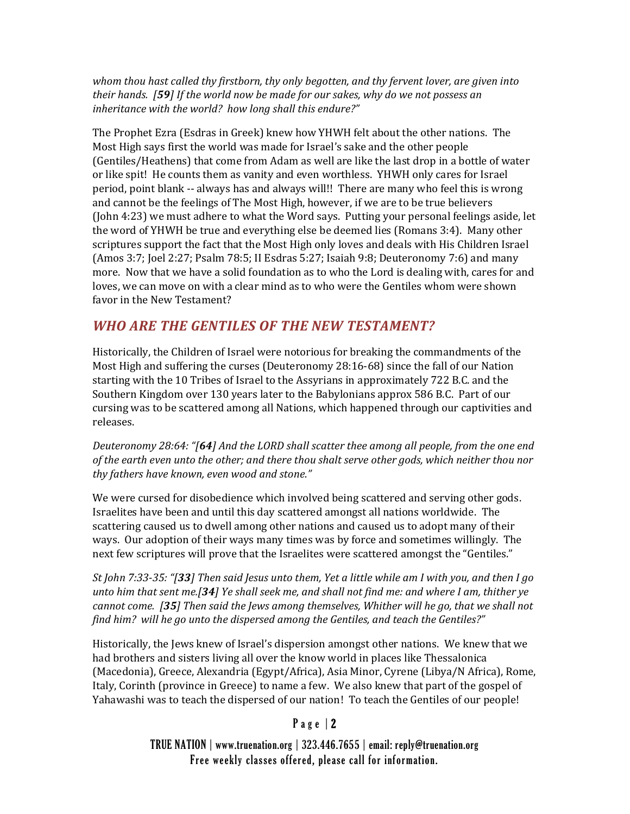*whom thou hast called thy firstborn, thy only begotten, and thy fervent lover, are given into their hands. [59] If the world now be made for our sakes, why do we not possess an inheritance with the world? how long shall this endure?"*

The Prophet Ezra (Esdras in Greek) knew how YHWH felt about the other nations. The Most High says first the world was made for Israel's sake and the other people (Gentiles/Heathens) that come from Adam as well are like the last drop in a bottle of water or like spit! He counts them as vanity and even worthless. YHWH only cares for Israel period, point blank -- always has and always will!! There are many who feel this is wrong and cannot be the feelings of The Most High, however, if we are to be true believers (John 4:23) we must adhere to what the Word says. Putting your personal feelings aside, let the word of YHWH be true and everything else be deemed lies (Romans 3:4). Many other scriptures support the fact that the Most High only loves and deals with His Children Israel (Amos 3:7; Joel 2:27; Psalm 78:5; II Esdras 5:27; Isaiah 9:8; Deuteronomy 7:6) and many more. Now that we have a solid foundation as to who the Lord is dealing with, cares for and loves, we can move on with a clear mind as to who were the Gentiles whom were shown favor in the New Testament?

## *WHO ARE THE GENTILES OF THE NEW TESTAMENT?*

Historically, the Children of Israel were notorious for breaking the commandments of the Most High and suffering the curses (Deuteronomy 28:16-68) since the fall of our Nation starting with the 10 Tribes of Israel to the Assyrians in approximately 722 B.C. and the Southern Kingdom over 130 years later to the Babylonians approx 586 B.C. Part of our cursing was to be scattered among all Nations, which happened through our captivities and releases.

*Deuteronomy 28:64: "[64] And the LORD shall scatter thee among all people, from the one end of the earth even unto the other; and there thou shalt serve other gods, which neither thou nor thy fathers have known, even wood and stone."*

We were cursed for disobedience which involved being scattered and serving other gods. Israelites have been and until this day scattered amongst all nations worldwide. The scattering caused us to dwell among other nations and caused us to adopt many of their ways. Our adoption of their ways many times was by force and sometimes willingly. The next few scriptures will prove that the Israelites were scattered amongst the "Gentiles."

*St John 7:33-35: "[33] Then said Jesus unto them, Yet a little while am I with you, and then I go unto him that sent me.[34] Ye shall seek me, and shall not find me: and where I am, thither ye cannot come. [35] Then said the Jews among themselves, Whither will he go, that we shall not find him? will he go unto the dispersed among the Gentiles, and teach the Gentiles?"*

Historically, the Jews knew of Israel's dispersion amongst other nations. We knew that we had brothers and sisters living all over the know world in places like Thessalonica (Macedonia), Greece, Alexandria (Egypt/Africa), Asia Minor, Cyrene (Libya/N Africa), Rome, Italy, Corinth (province in Greece) to name a few. We also knew that part of the gospel of Yahawashi was to teach the dispersed of our nation! To teach the Gentiles of our people!

#### P a g e | 2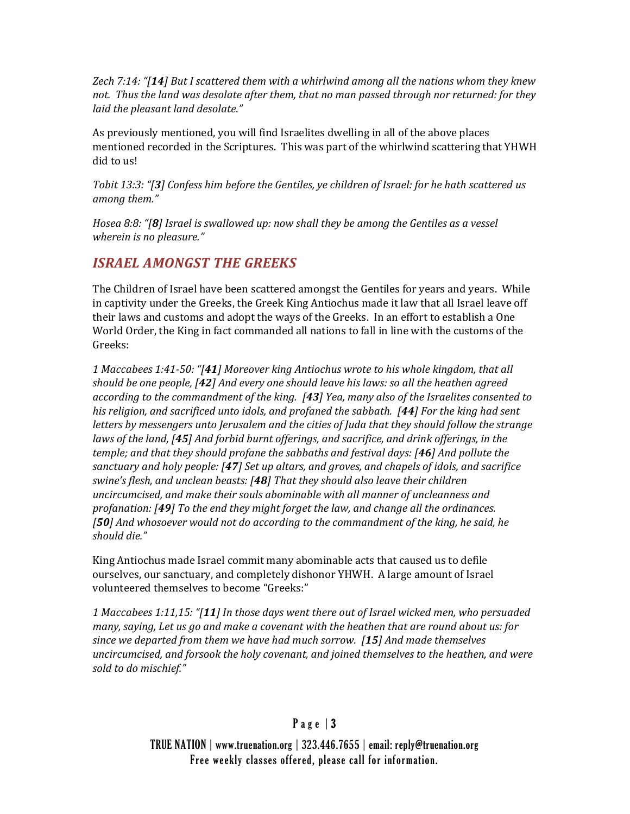*Zech 7:14: "[14] But I scattered them with a whirlwind among all the nations whom they knew not. Thus the land was desolate after them, that no man passed through nor returned: for they laid the pleasant land desolate."*

As previously mentioned, you will find Israelites dwelling in all of the above places mentioned recorded in the Scriptures. This was part of the whirlwind scattering that YHWH did to us!

*Tobit 13:3: "[3] Confess him before the Gentiles, ye children of Israel: for he hath scattered us among them."*

*Hosea 8:8: "[8] Israel is swallowed up: now shall they be among the Gentiles as a vessel wherein is no pleasure."*

# *ISRAEL AMONGST THE GREEKS*

The Children of Israel have been scattered amongst the Gentiles for years and years. While in captivity under the Greeks, the Greek King Antiochus made it law that all Israel leave off their laws and customs and adopt the ways of the Greeks. In an effort to establish a One World Order, the King in fact commanded all nations to fall in line with the customs of the Greeks:

*1 Maccabees 1:41-50: "[41] Moreover king Antiochus wrote to his whole kingdom, that all should be one people, [42] And every one should leave his laws: so all the heathen agreed according to the commandment of the king. [43] Yea, many also of the Israelites consented to his religion, and sacrificed unto idols, and profaned the sabbath. [44] For the king had sent letters by messengers unto Jerusalem and the cities of Juda that they should follow the strange laws of the land, [45] And forbid burnt offerings, and sacrifice, and drink offerings, in the temple; and that they should profane the sabbaths and festival days: [46] And pollute the sanctuary and holy people: [47] Set up altars, and groves, and chapels of idols, and sacrifice swine's flesh, and unclean beasts: [48] That they should also leave their children uncircumcised, and make their souls abominable with all manner of uncleanness and profanation: [49] To the end they might forget the law, and change all the ordinances. [50] And whosoever would not do according to the commandment of the king, he said, he should die."*

King Antiochus made Israel commit many abominable acts that caused us to defile ourselves, our sanctuary, and completely dishonor YHWH. A large amount of Israel volunteered themselves to become "Greeks:"

*1 Maccabees 1:11,15: "[11] In those days went there out of Israel wicked men, who persuaded many, saying, Let us go and make a covenant with the heathen that are round about us: for since we departed from them we have had much sorrow. [15] And made themselves uncircumcised, and forsook the holy covenant, and joined themselves to the heathen, and were sold to do mischief."*

#### Page  $|3$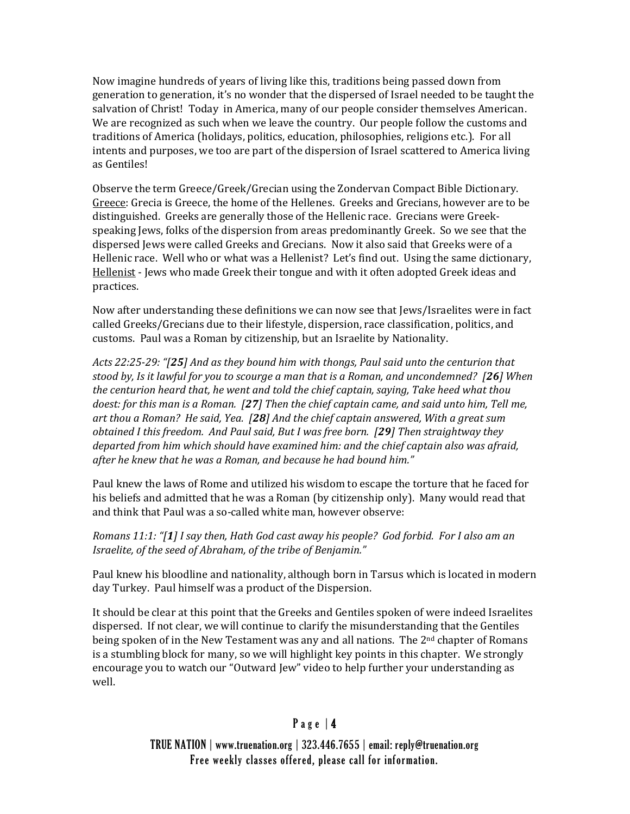Now imagine hundreds of years of living like this, traditions being passed down from generation to generation, it's no wonder that the dispersed of Israel needed to be taught the salvation of Christ! Today in America, many of our people consider themselves American. We are recognized as such when we leave the country. Our people follow the customs and traditions of America (holidays, politics, education, philosophies, religions etc.). For all intents and purposes, we too are part of the dispersion of Israel scattered to America living as Gentiles!

Observe the term Greece/Greek/Grecian using the Zondervan Compact Bible Dictionary. Greece: Grecia is Greece, the home of the Hellenes. Greeks and Grecians, however are to be distinguished. Greeks are generally those of the Hellenic race. Grecians were Greekspeaking Jews, folks of the dispersion from areas predominantly Greek. So we see that the dispersed Jews were called Greeks and Grecians. Now it also said that Greeks were of a Hellenic race. Well who or what was a Hellenist? Let's find out. Using the same dictionary, Hellenist - Jews who made Greek their tongue and with it often adopted Greek ideas and practices.

Now after understanding these definitions we can now see that Jews/Israelites were in fact called Greeks/Grecians due to their lifestyle, dispersion, race classification, politics, and customs. Paul was a Roman by citizenship, but an Israelite by Nationality.

*Acts 22:25-29: "[25] And as they bound him with thongs, Paul said unto the centurion that stood by, Is it lawful for you to scourge a man that is a Roman, and uncondemned? [26] When the centurion heard that, he went and told the chief captain, saying, Take heed what thou doest: for this man is a Roman. [27] Then the chief captain came, and said unto him, Tell me, art thou a Roman? He said, Yea. [28] And the chief captain answered, With a great sum obtained I this freedom. And Paul said, But I was free born. [29] Then straightway they departed from him which should have examined him: and the chief captain also was afraid, after he knew that he was a Roman, and because he had bound him."*

Paul knew the laws of Rome and utilized his wisdom to escape the torture that he faced for his beliefs and admitted that he was a Roman (by citizenship only). Many would read that and think that Paul was a so-called white man, however observe:

*Romans 11:1: "[1] I say then, Hath God cast away his people? God forbid. For I also am an Israelite, of the seed of Abraham, of the tribe of Benjamin."*

Paul knew his bloodline and nationality, although born in Tarsus which is located in modern day Turkey. Paul himself was a product of the Dispersion.

It should be clear at this point that the Greeks and Gentiles spoken of were indeed Israelites dispersed. If not clear, we will continue to clarify the misunderstanding that the Gentiles being spoken of in the New Testament was any and all nations. The  $2<sup>nd</sup>$  chapter of Romans is a stumbling block for many, so we will highlight key points in this chapter. We strongly encourage you to watch our "Outward Jew" video to help further your understanding as well.

#### Page  $|4$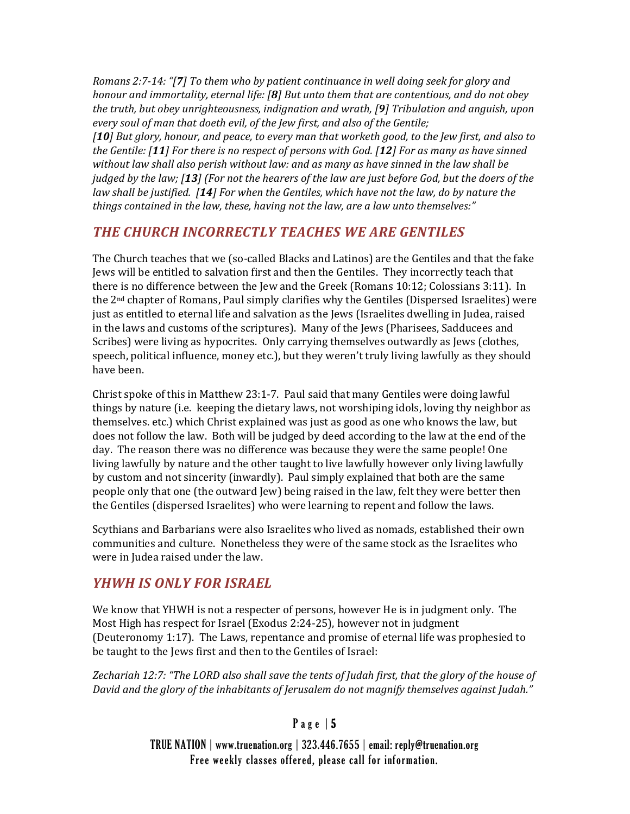*Romans 2:7-14: "[7] To them who by patient continuance in well doing seek for glory and honour and immortality, eternal life: [8] But unto them that are contentious, and do not obey the truth, but obey unrighteousness, indignation and wrath, [9] Tribulation and anguish, upon every soul of man that doeth evil, of the Jew first, and also of the Gentile;*

*[10] But glory, honour, and peace, to every man that worketh good, to the Jew first, and also to the Gentile: [11] For there is no respect of persons with God. [12] For as many as have sinned without law shall also perish without law: and as many as have sinned in the law shall be judged by the law; [13] (For not the hearers of the law are just before God, but the doers of the law shall be justified. [14] For when the Gentiles, which have not the law, do by nature the things contained in the law, these, having not the law, are a law unto themselves:"*

#### *THE CHURCH INCORRECTLY TEACHES WE ARE GENTILES*

The Church teaches that we (so-called Blacks and Latinos) are the Gentiles and that the fake Jews will be entitled to salvation first and then the Gentiles. They incorrectly teach that there is no difference between the Jew and the Greek (Romans 10:12; Colossians 3:11). In the 2nd chapter of Romans, Paul simply clarifies why the Gentiles (Dispersed Israelites) were just as entitled to eternal life and salvation as the Jews (Israelites dwelling in Judea, raised in the laws and customs of the scriptures). Many of the Jews (Pharisees, Sadducees and Scribes) were living as hypocrites. Only carrying themselves outwardly as Jews (clothes, speech, political influence, money etc.), but they weren't truly living lawfully as they should have been.

Christ spoke of this in Matthew 23:1-7. Paul said that many Gentiles were doing lawful things by nature (i.e. keeping the dietary laws, not worshiping idols, loving thy neighbor as themselves. etc.) which Christ explained was just as good as one who knows the law, but does not follow the law. Both will be judged by deed according to the law at the end of the day. The reason there was no difference was because they were the same people! One living lawfully by nature and the other taught to live lawfully however only living lawfully by custom and not sincerity (inwardly). Paul simply explained that both are the same people only that one (the outward Jew) being raised in the law, felt they were better then the Gentiles (dispersed Israelites) who were learning to repent and follow the laws.

Scythians and Barbarians were also Israelites who lived as nomads, established their own communities and culture. Nonetheless they were of the same stock as the Israelites who were in Judea raised under the law.

## *YHWH IS ONLY FOR ISRAEL*

We know that YHWH is not a respecter of persons, however He is in judgment only. The Most High has respect for Israel (Exodus 2:24-25), however not in judgment (Deuteronomy 1:17). The Laws, repentance and promise of eternal life was prophesied to be taught to the Jews first and then to the Gentiles of Israel:

*Zechariah 12:7: "The LORD also shall save the tents of Judah first, that the glory of the house of David and the glory of the inhabitants of Jerusalem do not magnify themselves against Judah."*

#### Page  $|5$